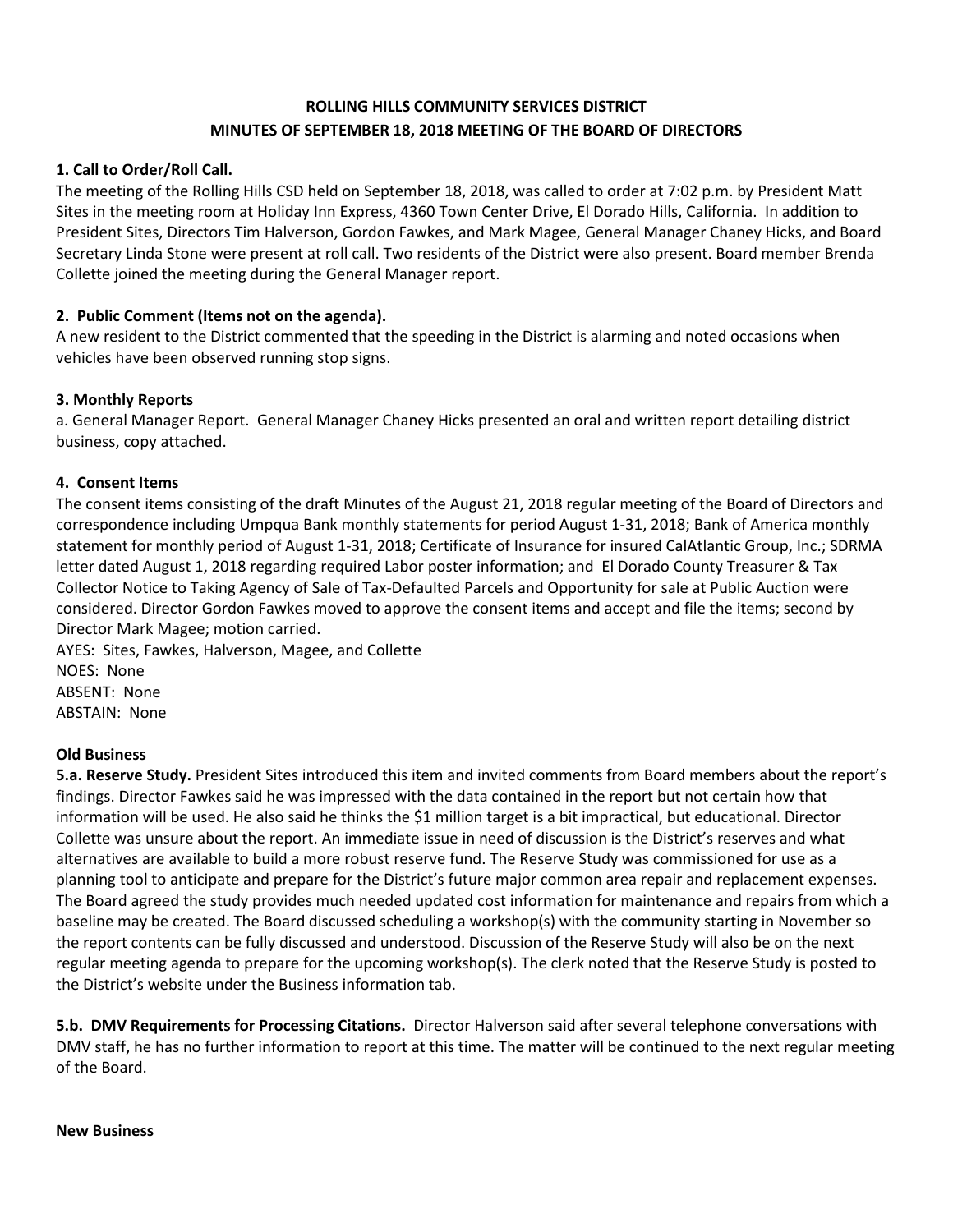# **ROLLING HILLS COMMUNITY SERVICES DISTRICT MINUTES OF SEPTEMBER 18, 2018 MEETING OF THE BOARD OF DIRECTORS**

## **1. Call to Order/Roll Call.**

The meeting of the Rolling Hills CSD held on September 18, 2018, was called to order at 7:02 p.m. by President Matt Sites in the meeting room at Holiday Inn Express, 4360 Town Center Drive, El Dorado Hills, California. In addition to President Sites, Directors Tim Halverson, Gordon Fawkes, and Mark Magee, General Manager Chaney Hicks, and Board Secretary Linda Stone were present at roll call. Two residents of the District were also present. Board member Brenda Collette joined the meeting during the General Manager report.

## **2. Public Comment (Items not on the agenda).**

A new resident to the District commented that the speeding in the District is alarming and noted occasions when vehicles have been observed running stop signs.

### **3. Monthly Reports**

a. General Manager Report. General Manager Chaney Hicks presented an oral and written report detailing district business, copy attached.

### **4. Consent Items**

The consent items consisting of the draft Minutes of the August 21, 2018 regular meeting of the Board of Directors and correspondence including Umpqua Bank monthly statements for period August 1-31, 2018; Bank of America monthly statement for monthly period of August 1-31, 2018; Certificate of Insurance for insured CalAtlantic Group, Inc.; SDRMA letter dated August 1, 2018 regarding required Labor poster information; and El Dorado County Treasurer & Tax Collector Notice to Taking Agency of Sale of Tax-Defaulted Parcels and Opportunity for sale at Public Auction were considered. Director Gordon Fawkes moved to approve the consent items and accept and file the items; second by Director Mark Magee; motion carried.

AYES: Sites, Fawkes, Halverson, Magee, and Collette NOES: None ABSENT: None ABSTAIN: None

#### **Old Business**

**5.a. Reserve Study.** President Sites introduced this item and invited comments from Board members about the report's findings. Director Fawkes said he was impressed with the data contained in the report but not certain how that information will be used. He also said he thinks the \$1 million target is a bit impractical, but educational. Director Collette was unsure about the report. An immediate issue in need of discussion is the District's reserves and what alternatives are available to build a more robust reserve fund. The Reserve Study was commissioned for use as a planning tool to anticipate and prepare for the District's future major common area repair and replacement expenses. The Board agreed the study provides much needed updated cost information for maintenance and repairs from which a baseline may be created. The Board discussed scheduling a workshop(s) with the community starting in November so the report contents can be fully discussed and understood. Discussion of the Reserve Study will also be on the next regular meeting agenda to prepare for the upcoming workshop(s). The clerk noted that the Reserve Study is posted to the District's website under the Business information tab.

**5.b. DMV Requirements for Processing Citations.** Director Halverson said after several telephone conversations with DMV staff, he has no further information to report at this time. The matter will be continued to the next regular meeting of the Board.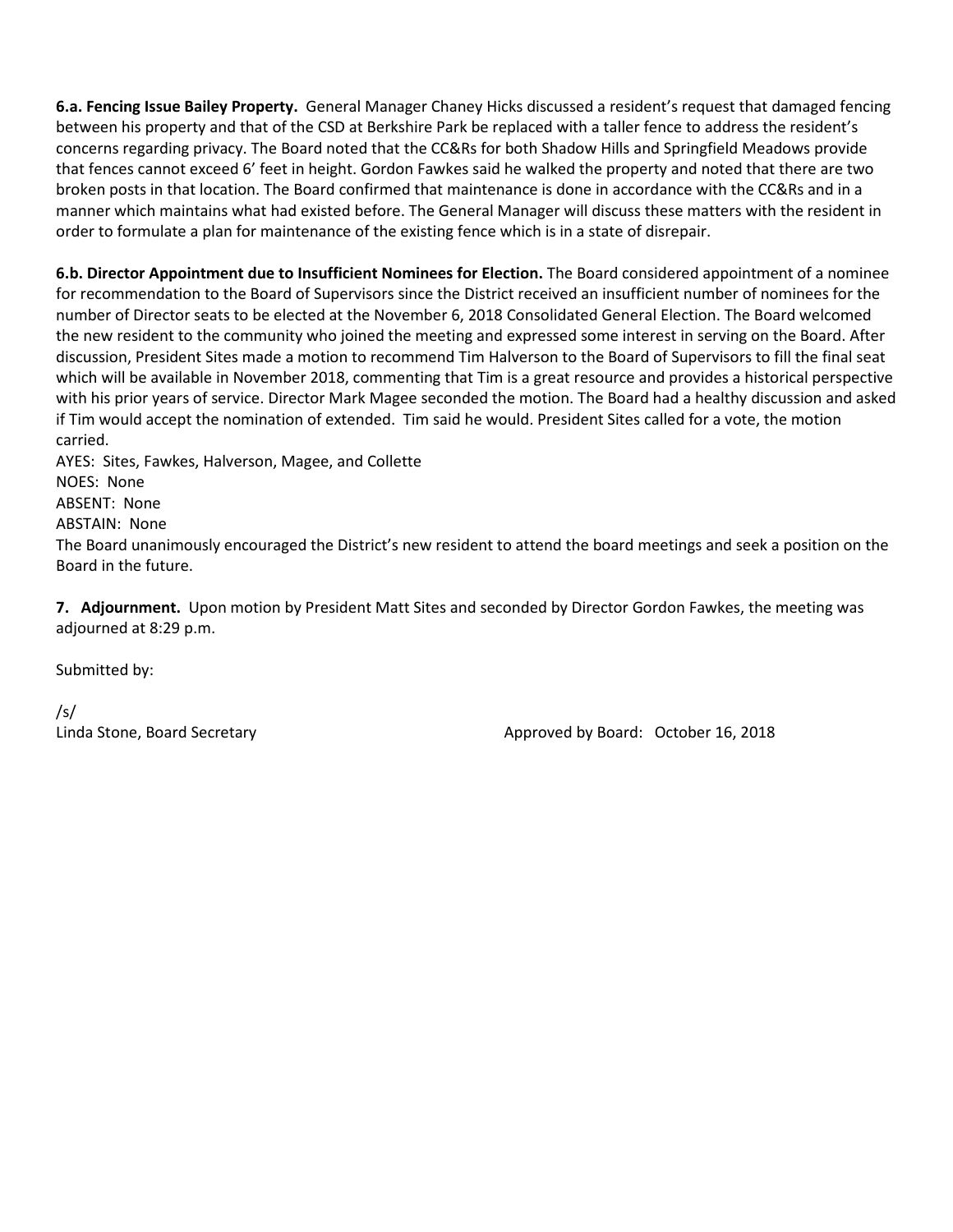**6.a. Fencing Issue Bailey Property.** General Manager Chaney Hicks discussed a resident's request that damaged fencing between his property and that of the CSD at Berkshire Park be replaced with a taller fence to address the resident's concerns regarding privacy. The Board noted that the CC&Rs for both Shadow Hills and Springfield Meadows provide that fences cannot exceed 6' feet in height. Gordon Fawkes said he walked the property and noted that there are two broken posts in that location. The Board confirmed that maintenance is done in accordance with the CC&Rs and in a manner which maintains what had existed before. The General Manager will discuss these matters with the resident in order to formulate a plan for maintenance of the existing fence which is in a state of disrepair.

**6.b. Director Appointment due to Insufficient Nominees for Election.** The Board considered appointment of a nominee for recommendation to the Board of Supervisors since the District received an insufficient number of nominees for the number of Director seats to be elected at the November 6, 2018 Consolidated General Election. The Board welcomed the new resident to the community who joined the meeting and expressed some interest in serving on the Board. After discussion, President Sites made a motion to recommend Tim Halverson to the Board of Supervisors to fill the final seat which will be available in November 2018, commenting that Tim is a great resource and provides a historical perspective with his prior years of service. Director Mark Magee seconded the motion. The Board had a healthy discussion and asked if Tim would accept the nomination of extended. Tim said he would. President Sites called for a vote, the motion carried.

AYES: Sites, Fawkes, Halverson, Magee, and Collette NOES: None ABSENT: None ABSTAIN: None The Board unanimously encouraged the District's new resident to attend the board meetings and seek a position on the Board in the future.

**7. Adjournment.** Upon motion by President Matt Sites and seconded by Director Gordon Fawkes, the meeting was adjourned at 8:29 p.m.

Submitted by:

/s/

Linda Stone, Board Secretary **Approved by Board: October 16, 2018**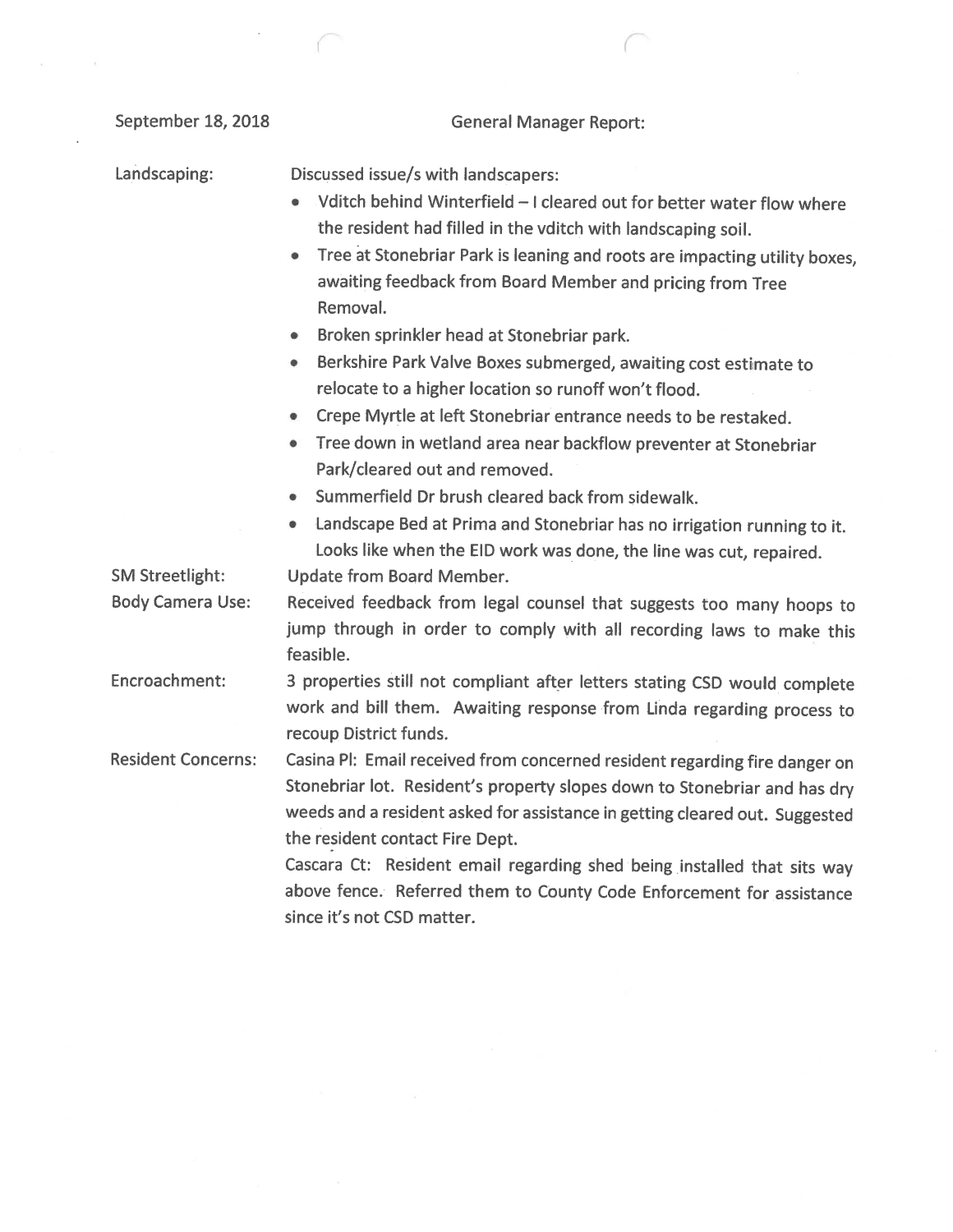| September 18, 2018        | <b>General Manager Report:</b>                                                                                                                                                                                                                                                                                                                                                                                                                             |
|---------------------------|------------------------------------------------------------------------------------------------------------------------------------------------------------------------------------------------------------------------------------------------------------------------------------------------------------------------------------------------------------------------------------------------------------------------------------------------------------|
| Landscaping:              | Discussed issue/s with landscapers:<br>Vditch behind Winterfield - I cleared out for better water flow where<br>the resident had filled in the vditch with landscaping soil.                                                                                                                                                                                                                                                                               |
|                           | Tree at Stonebriar Park is leaning and roots are impacting utility boxes,<br>awaiting feedback from Board Member and pricing from Tree<br>Removal.                                                                                                                                                                                                                                                                                                         |
|                           | Broken sprinkler head at Stonebriar park.<br>۰                                                                                                                                                                                                                                                                                                                                                                                                             |
|                           | Berkshire Park Valve Boxes submerged, awaiting cost estimate to<br>۰<br>relocate to a higher location so runoff won't flood.                                                                                                                                                                                                                                                                                                                               |
|                           | Crepe Myrtle at left Stonebriar entrance needs to be restaked.                                                                                                                                                                                                                                                                                                                                                                                             |
|                           | Tree down in wetland area near backflow preventer at Stonebriar<br>$\bullet$<br>Park/cleared out and removed.                                                                                                                                                                                                                                                                                                                                              |
|                           | Summerfield Dr brush cleared back from sidewalk.<br>0                                                                                                                                                                                                                                                                                                                                                                                                      |
|                           | Landscape Bed at Prima and Stonebriar has no irrigation running to it.<br>۰<br>Looks like when the EID work was done, the line was cut, repaired.                                                                                                                                                                                                                                                                                                          |
| <b>SM Streetlight:</b>    | <b>Update from Board Member.</b>                                                                                                                                                                                                                                                                                                                                                                                                                           |
| <b>Body Camera Use:</b>   | Received feedback from legal counsel that suggests too many hoops to<br>jump through in order to comply with all recording laws to make this<br>feasible.                                                                                                                                                                                                                                                                                                  |
| Encroachment:             | 3 properties still not compliant after letters stating CSD would complete<br>work and bill them. Awaiting response from Linda regarding process to<br>recoup District funds.                                                                                                                                                                                                                                                                               |
| <b>Resident Concerns:</b> | Casina PI: Email received from concerned resident regarding fire danger on<br>Stonebriar lot. Resident's property slopes down to Stonebriar and has dry<br>weeds and a resident asked for assistance in getting cleared out. Suggested<br>the resident contact Fire Dept.<br>Cascara Ct: Resident email regarding shed being installed that sits way<br>above fence. Referred them to County Code Enforcement for assistance<br>since it's not CSD matter. |
|                           |                                                                                                                                                                                                                                                                                                                                                                                                                                                            |

 $\sim$ 

 $\mathcal{C}^{\mathcal{C}}$  . And  $\mathcal{C}^{\mathcal{C}}$